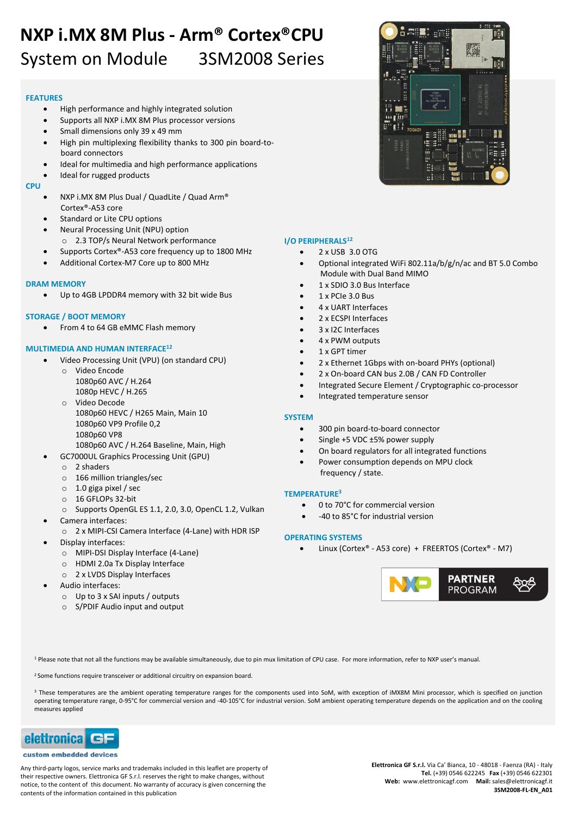# **NXP i.MX 8M Plus - Arm® Cortex®CPU** System on Module 3SM2008 Series

#### **FEATURES**

- High performance and highly integrated solution
- Supports all NXP i.MX 8M Plus processor versions
- Small dimensions only 39 x 49 mm
- High pin multiplexing flexibility thanks to 300 pin board-toboard connectors
- Ideal for multimedia and high performance applications
- Ideal for rugged products

#### **CPU**

- NXP i.MX 8M Plus Dual / QuadLite / Quad Arm® Cortex®-A53 core
- Standard or Lite CPU options
- Neural Processing Unit (NPU) option
- o 2.3 TOP/s Neural Network performance
- Supports Cortex®-A53 core frequency up to 1800 MHz Additional Cortex-M7 Core up to 800 MHz

#### **DRAM MEMORY**

Up to 4GB LPDDR4 memory with 32 bit wide Bus

#### **STORAGE / BOOT MEMORY**

• From 4 to 64 GB eMMC Flash memory

### **MULTIMEDIA AND HUMAN INTERFACE<sup>12</sup>**

- Video Processing Unit (VPU) (on standard CPU)
	- o Video Encode 1080p60 AVC / H.264 1080p HEVC / H.265
	- o Video Decode 1080p60 HEVC / H265 Main, Main 10 1080p60 VP9 Profile 0,2 1080p60 VP8 1080p60 AVC / H.264 Baseline, Main, High
- GC7000UL Graphics Processing Unit (GPU)
	- o 2 shaders
	- o 166 million triangles/sec
	- o 1.0 giga pixel / sec
	- o 16 GFLOPs 32-bit
- o Supports OpenGL ES 1.1, 2.0, 3.0, OpenCL 1.2, Vulkan
- Camera interfaces:
	- o 2 x MIPI-CSI Camera Interface (4-Lane) with HDR ISP
- Display interfaces:
	- o MIPI-DSI Display Interface (4-Lane)
	- o HDMI 2.0a Tx Display Interface
	- o 2 x LVDS Display Interfaces
- Audio interfaces:
	- o Up to 3 x SAI inputs / outputs
	- o S/PDIF Audio input and output



## **I/O PERIPHERALS<sup>12</sup>**

- 2 x USB 3.0 OTG
- Optional integrated WiFi 802.11a/b/g/n/ac and BT 5.0 Combo Module with Dual Band MIMO
- 1 x SDIO 3.0 Bus Interface
- 1 x PCIe 3.0 Bus
- 4 x UART Interfaces
- 2 x ECSPI Interfaces
- 3 x I2C Interfaces
- 4 x PWM outputs
- 1 x GPT timer
- 2 x Ethernet 1Gbps with on-board PHYs (optional)
- 2 x On-board CAN bus 2.0B / CAN FD Controller
- Integrated Secure Element / Cryptographic co-processor
- Integrated temperature sensor

### **SYSTEM**

- 300 pin board-to-board connector
- Single +5 VDC ±5% power supply
- On board regulators for all integrated functions
- Power consumption depends on MPU clock frequency / state.

### **TEMPERATURE<sup>3</sup>**

- 0 to 70°C for commercial version
- -40 to 85°C for industrial version

### **OPERATING SYSTEMS**

Linux (Cortex® - A53 core) + FREERTOS (Cortex® - M7)



<sup>1</sup> Please note that not all the functions may be available simultaneously, due to pin mux limitation of CPU case. For more information, refer to NXP user's manual.

<sup>2</sup> Some functions require transceiver or additional circuitry on expansion board.

<sup>3</sup> These temperatures are the ambient operating temperature ranges for the components used into SoM, with exception of iMX8M Mini processor, which is specified on junction operating temperature range, 0-95°C for commercial version and -40-105°C for industrial version. SoM ambient operating temperature depends on the application and on the cooling measures applied



#### custom embedded devices

Any third-party logos, service marks and trademaks included in this leaflet are property of their respective owners. Elettronica GF S.r.l. reserves the right to make changes, without notice, to the content of this document. No warranty of accuracy is given concerning the contents of the information contained in this publication